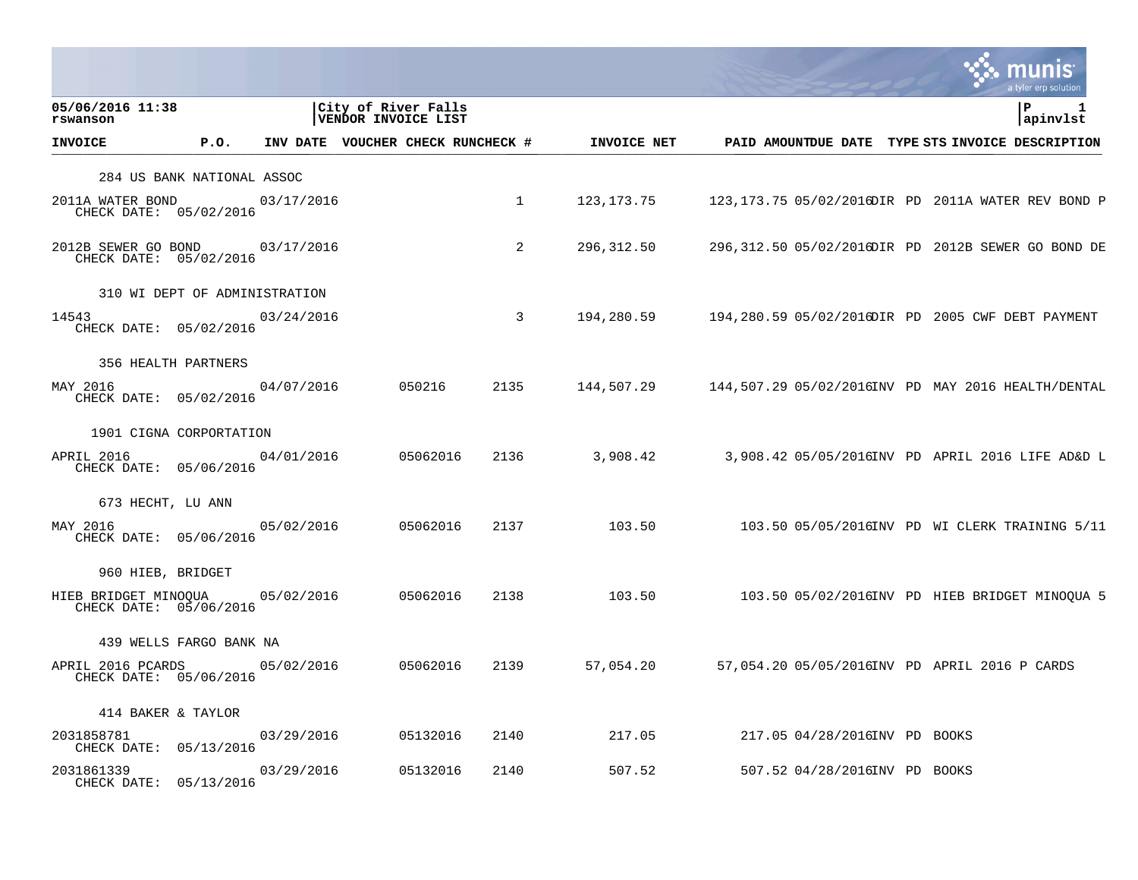|                                                           |      |                                   |                                            |          |      |              |                               | munis<br>a tyler erp solution                       |
|-----------------------------------------------------------|------|-----------------------------------|--------------------------------------------|----------|------|--------------|-------------------------------|-----------------------------------------------------|
| 05/06/2016 11:38<br>rswanson                              |      |                                   | City of River Falls<br>VENDOR INVOICE LIST |          |      |              |                               | ΙP<br>1<br>apinvlst                                 |
| <b>INVOICE</b>                                            | P.O. | INV DATE VOUCHER CHECK RUNCHECK # |                                            |          |      | INVOICE NET  |                               | PAID AMOUNTDUE DATE TYPE STS INVOICE DESCRIPTION    |
| 284 US BANK NATIONAL ASSOC                                |      |                                   |                                            |          |      |              |                               |                                                     |
| 2011A WATER BOND<br>CHECK DATE: 05/02/2016                |      | 03/17/2016                        |                                            |          | 1    | 123, 173. 75 |                               | 123, 173.75 05/02/2016DIR PD 2011A WATER REV BOND P |
| 2012B SEWER GO BOND 03/17/2016<br>CHECK DATE: 05/02/2016  |      |                                   |                                            |          | 2    | 296,312.50   |                               | 296,312.50 05/02/2016DIR PD 2012B SEWER GO BOND DE  |
| 310 WI DEPT OF ADMINISTRATION                             |      |                                   |                                            |          |      |              |                               |                                                     |
| 14543<br>CHECK DATE: 05/02/2016                           |      | 03/24/2016                        |                                            |          | 3    | 194,280.59   |                               | 194,280.59 05/02/2016DIR PD 2005 CWF DEBT PAYMENT   |
| 356 HEALTH PARTNERS                                       |      |                                   |                                            |          |      |              |                               |                                                     |
| MAY 2016<br>CHECK DATE: 05/02/2016                        |      | 04/07/2016                        |                                            | 050216   | 2135 | 144,507.29   |                               | 144,507.29 05/02/2016INV PD MAY 2016 HEALTH/DENTAL  |
| 1901 CIGNA CORPORTATION                                   |      |                                   |                                            |          |      |              |                               |                                                     |
| APRIL 2016<br>CHECK DATE: 05/06/2016                      |      | 04/01/2016                        |                                            | 05062016 | 2136 | 3,908.42     |                               | 3,908.42 05/05/2016INV PD APRIL 2016 LIFE AD&D L    |
| 673 HECHT, LU ANN                                         |      |                                   |                                            |          |      |              |                               |                                                     |
| MAY 2016<br>CHECK DATE: 05/06/2016                        |      | 05/02/2016                        |                                            | 05062016 | 2137 | 103.50       |                               | 103.50 05/05/2016INV PD WI CLERK TRAINING 5/11      |
| 960 HIEB, BRIDGET                                         |      |                                   |                                            |          |      |              |                               |                                                     |
| HIEB BRIDGET MINOQUA 05/02/2016<br>CHECK DATE: 05/06/2016 |      |                                   |                                            | 05062016 | 2138 | 103.50       |                               | 103.50 05/02/2016INV PD HIEB BRIDGET MINOQUA 5      |
| 439 WELLS FARGO BANK NA                                   |      |                                   |                                            |          |      |              |                               |                                                     |
| APRIL 2016 PCARDS<br>CHECK DATE: 05/06/2016               |      | 05/02/2016                        |                                            | 05062016 | 2139 | 57,054.20    |                               | 57,054.20 05/05/2016INV PD APRIL 2016 P CARDS       |
| 414 BAKER & TAYLOR                                        |      |                                   |                                            |          |      |              |                               |                                                     |
| 2031858781<br>CHECK DATE: 05/13/2016                      |      | 03/29/2016                        |                                            | 05132016 | 2140 | 217.05       | 217.05 04/28/2016INV PD BOOKS |                                                     |
| 2031861339<br>CHECK DATE: 05/13/2016                      |      | 03/29/2016                        |                                            | 05132016 | 2140 | 507.52       | 507.52 04/28/2016INV PD BOOKS |                                                     |

and the contract of the contract of the contract of the contract of the contract of the contract of the contract of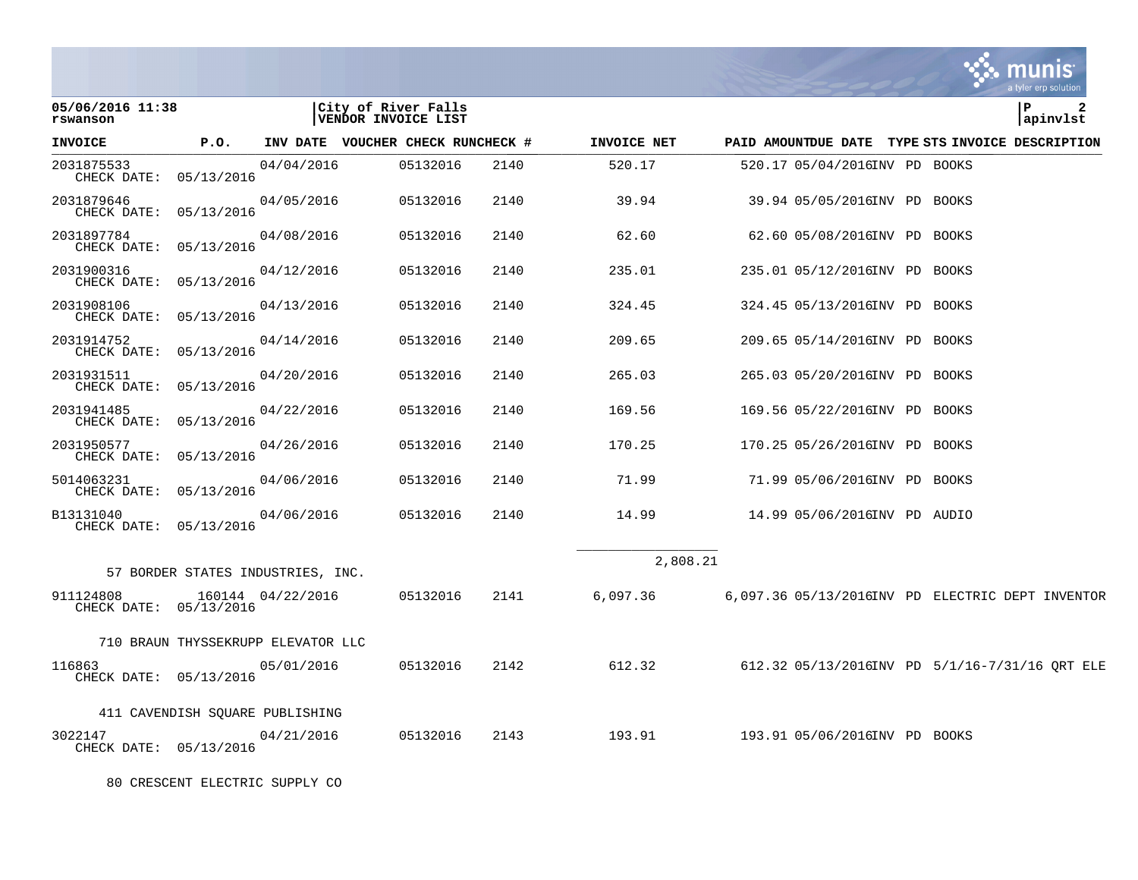|                                      |                                    |                   |                                            |      |             |                                                  |  | a tyler erp solution |
|--------------------------------------|------------------------------------|-------------------|--------------------------------------------|------|-------------|--------------------------------------------------|--|----------------------|
| 05/06/2016 11:38<br>rswanson         |                                    |                   | City of River Falls<br>VENDOR INVOICE LIST |      |             |                                                  |  | ΙP<br>2<br>apinvlst  |
| <b>INVOICE</b>                       | P.O.                               |                   | INV DATE VOUCHER CHECK RUNCHECK #          |      | INVOICE NET | PAID AMOUNTDUE DATE TYPE STS INVOICE DESCRIPTION |  |                      |
| 2031875533<br>CHECK DATE: 05/13/2016 |                                    | 04/04/2016        | 05132016                                   | 2140 | 520.17      | 520.17 05/04/2016INV PD BOOKS                    |  |                      |
| 2031879646<br>CHECK DATE: 05/13/2016 |                                    | 04/05/2016        | 05132016                                   | 2140 | 39.94       | 39.94 05/05/2016INV PD BOOKS                     |  |                      |
| 2031897784<br>CHECK DATE: 05/13/2016 |                                    | 04/08/2016        | 05132016                                   | 2140 | 62.60       | 62.60 05/08/2016INV PD BOOKS                     |  |                      |
| 2031900316<br>CHECK DATE: 05/13/2016 |                                    | 04/12/2016        | 05132016                                   | 2140 | 235.01      | 235.01 05/12/2016INV PD BOOKS                    |  |                      |
| 2031908106<br>CHECK DATE: 05/13/2016 |                                    | 04/13/2016        | 05132016                                   | 2140 | 324.45      | 324.45 05/13/2016INV PD BOOKS                    |  |                      |
| 2031914752<br>CHECK DATE:            | 05/13/2016                         | 04/14/2016        | 05132016                                   | 2140 | 209.65      | 209.65 05/14/2016INV PD BOOKS                    |  |                      |
| 2031931511<br>CHECK DATE: 05/13/2016 |                                    | 04/20/2016        | 05132016                                   | 2140 | 265.03      | 265.03 05/20/2016INV PD BOOKS                    |  |                      |
| 2031941485<br>CHECK DATE:            | 05/13/2016                         | 04/22/2016        | 05132016                                   | 2140 | 169.56      | 169.56 05/22/2016INV PD BOOKS                    |  |                      |
| 2031950577<br>CHECK DATE: 05/13/2016 |                                    | 04/26/2016        | 05132016                                   | 2140 | 170.25      | 170.25 05/26/2016INV PD BOOKS                    |  |                      |
| 5014063231<br>CHECK DATE: 05/13/2016 |                                    | 04/06/2016        | 05132016                                   | 2140 | 71.99       | 71.99 05/06/2016INV PD BOOKS                     |  |                      |
| B13131040<br>CHECK DATE: 05/13/2016  |                                    | 04/06/2016        | 05132016                                   | 2140 | 14.99       | 14.99 05/06/2016INV PD AUDIO                     |  |                      |
|                                      |                                    |                   |                                            |      |             | 2,808.21                                         |  |                      |
|                                      | 57 BORDER STATES INDUSTRIES, INC.  |                   |                                            |      |             |                                                  |  |                      |
| 911124808<br>CHECK DATE: 05/13/2016  |                                    | 160144 04/22/2016 | 05132016                                   | 2141 | 6,097.36    | 6,097.36 05/13/2016INV PD ELECTRIC DEPT INVENTOR |  |                      |
|                                      | 710 BRAUN THYSSEKRUPP ELEVATOR LLC |                   |                                            |      |             |                                                  |  |                      |
| 116863<br>CHECK DATE: 05/13/2016     |                                    | 05/01/2016        | 05132016                                   | 2142 | 612.32      | 612.32 05/13/2016INV PD 5/1/16-7/31/16 QRT ELE   |  |                      |
|                                      | 411 CAVENDISH SOUARE PUBLISHING    |                   |                                            |      |             |                                                  |  |                      |
| 3022147<br>CHECK DATE: 05/13/2016    |                                    | 04/21/2016        | 05132016                                   | 2143 | 193.91      | 193.91 05/06/2016INV PD BOOKS                    |  |                      |

80 CRESCENT ELECTRIC SUPPLY CO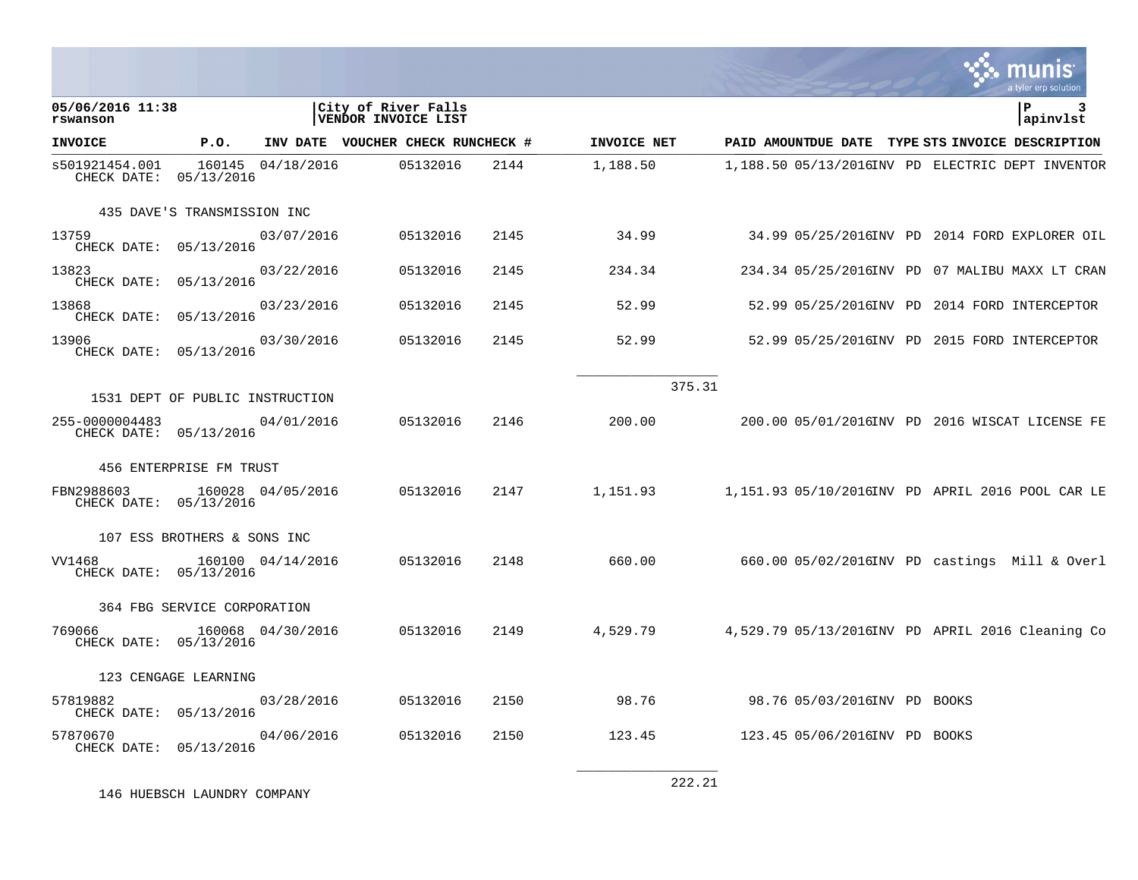|                                          |                                 |                   |                                            |      |             |                                                  |  | a tyler erp solution |
|------------------------------------------|---------------------------------|-------------------|--------------------------------------------|------|-------------|--------------------------------------------------|--|----------------------|
| 05/06/2016 11:38<br>rswanson             |                                 |                   | City of River Falls<br>VENDOR INVOICE LIST |      |             |                                                  |  | l P<br>apinvlst      |
| <b>INVOICE</b>                           | P.O.                            |                   | INV DATE VOUCHER CHECK RUNCHECK #          |      | INVOICE NET | PAID AMOUNTDUE DATE TYPE STS INVOICE DESCRIPTION |  |                      |
| s501921454.001<br>CHECK DATE: 05/13/2016 |                                 | 160145 04/18/2016 | 05132016                                   | 2144 | 1,188.50    | 1,188.50 05/13/2016INV PD ELECTRIC DEPT INVENTOR |  |                      |
|                                          | 435 DAVE'S TRANSMISSION INC     |                   |                                            |      |             |                                                  |  |                      |
| 13759<br>CHECK DATE: 05/13/2016          |                                 | 03/07/2016        | 05132016                                   | 2145 | 34.99       | 34.99 05/25/2016INV PD 2014 FORD EXPLORER OIL    |  |                      |
| 13823<br>CHECK DATE: 05/13/2016          |                                 | 03/22/2016        | 05132016                                   | 2145 | 234.34      | 234.34 05/25/2016INV PD 07 MALIBU MAXX LT CRAN   |  |                      |
| 13868<br>CHECK DATE: 05/13/2016          |                                 | 03/23/2016        | 05132016                                   | 2145 | 52.99       | 52.99 05/25/2016INV PD 2014 FORD INTERCEPTOR     |  |                      |
| 13906<br>CHECK DATE: 05/13/2016          |                                 | 03/30/2016        | 05132016                                   | 2145 | 52.99       | 52.99 05/25/2016INV PD 2015 FORD INTERCEPTOR     |  |                      |
|                                          |                                 |                   |                                            |      |             | 375.31                                           |  |                      |
|                                          | 1531 DEPT OF PUBLIC INSTRUCTION |                   |                                            |      |             |                                                  |  |                      |
| 255-0000004483<br>CHECK DATE: 05/13/2016 |                                 | 04/01/2016        | 05132016                                   | 2146 | 200.00      | 200.00 05/01/2016INV PD 2016 WISCAT LICENSE FE   |  |                      |
|                                          | 456 ENTERPRISE FM TRUST         |                   |                                            |      |             |                                                  |  |                      |
| FBN2988603<br>CHECK DATE: 05/13/2016     |                                 | 160028 04/05/2016 | 05132016                                   | 2147 | 1,151.93    | 1,151.93 05/10/2016INV PD APRIL 2016 POOL CAR LE |  |                      |
|                                          | 107 ESS BROTHERS & SONS INC     |                   |                                            |      |             |                                                  |  |                      |
| VV1468<br>CHECK DATE: 05/13/2016         |                                 | 160100 04/14/2016 | 05132016                                   | 2148 | 660.00      | $660.0005/02/2016$ INV PD castings Mill & Overl  |  |                      |
|                                          | 364 FBG SERVICE CORPORATION     |                   |                                            |      |             |                                                  |  |                      |
| 769066<br>CHECK DATE: 05/13/2016         |                                 | 160068 04/30/2016 | 05132016                                   | 2149 | 4,529.79    | 4,529.79 05/13/2016INV PD APRIL 2016 Cleaning Co |  |                      |
|                                          | 123 CENGAGE LEARNING            |                   |                                            |      |             |                                                  |  |                      |
| 57819882<br>CHECK DATE: 05/13/2016       |                                 | 03/28/2016        | 05132016                                   | 2150 | 98.76       | 98.76 05/03/2016INV PD BOOKS                     |  |                      |
| 57870670<br>CHECK DATE: 05/13/2016       |                                 | 04/06/2016        | 05132016                                   | 2150 | 123.45      | 123.45 05/06/2016INV PD BOOKS                    |  |                      |
|                                          |                                 |                   |                                            |      |             | C CCC                                            |  |                      |

146 HUEBSCH LAUNDRY COMPANY

222.21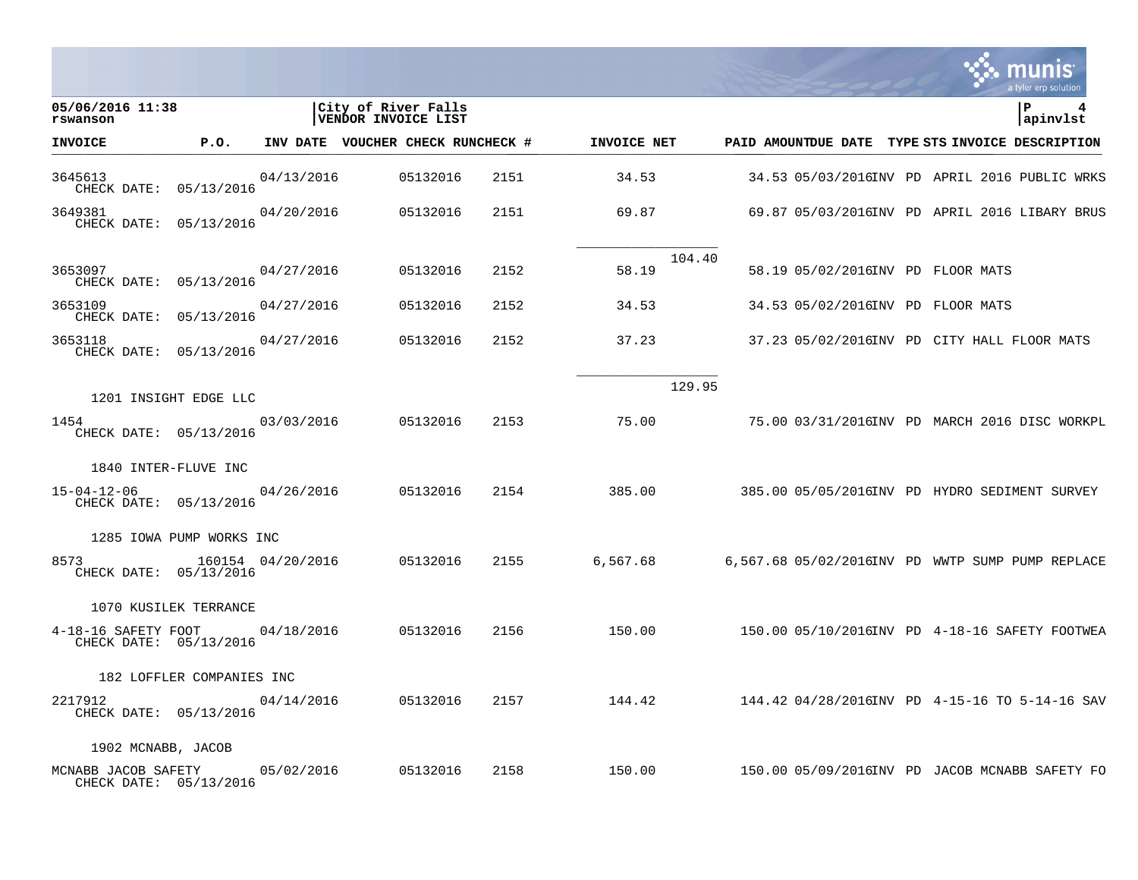|                                               |                           |                   |                                            |          |      |             |        |                                   |  | a tyler erp solution                             |
|-----------------------------------------------|---------------------------|-------------------|--------------------------------------------|----------|------|-------------|--------|-----------------------------------|--|--------------------------------------------------|
| 05/06/2016 11:38<br>rswanson                  |                           |                   | City of River Falls<br>VENDOR INVOICE LIST |          |      |             |        |                                   |  | l P<br>apinvlst                                  |
| <b>INVOICE</b>                                | P.O.                      |                   | INV DATE VOUCHER CHECK RUNCHECK #          |          |      | INVOICE NET |        |                                   |  | PAID AMOUNTDUE DATE TYPE STS INVOICE DESCRIPTION |
| 3645613<br>CHECK DATE: 05/13/2016             |                           | 04/13/2016        |                                            | 05132016 | 2151 | 34.53       |        |                                   |  | 34.53 05/03/2016INV PD APRIL 2016 PUBLIC WRKS    |
| 3649381<br>CHECK DATE: 05/13/2016             |                           | 04/20/2016        |                                            | 05132016 | 2151 | 69.87       |        |                                   |  | 69.87 05/03/2016INV PD APRIL 2016 LIBARY BRUS    |
| 3653097<br>CHECK DATE: 05/13/2016             |                           | 04/27/2016        |                                            | 05132016 | 2152 | 58.19       | 104.40 | 58.19 05/02/2016INV PD FLOOR MATS |  |                                                  |
| 3653109<br>CHECK DATE: 05/13/2016             |                           | 04/27/2016        |                                            | 05132016 | 2152 | 34.53       |        | 34.53 05/02/2016INV PD FLOOR MATS |  |                                                  |
| 3653118<br>CHECK DATE: 05/13/2016             |                           | 04/27/2016        |                                            | 05132016 | 2152 | 37.23       |        |                                   |  | 37.23 05/02/2016INV PD CITY HALL FLOOR MATS      |
|                                               |                           |                   |                                            |          |      |             | 129.95 |                                   |  |                                                  |
| 1454<br>CHECK DATE: 05/13/2016                | 1201 INSIGHT EDGE LLC     | 03/03/2016        |                                            | 05132016 | 2153 | 75.00       |        |                                   |  | 75.00 03/31/2016INV PD MARCH 2016 DISC WORKPL    |
|                                               | 1840 INTER-FLUVE INC      |                   |                                            |          |      |             |        |                                   |  |                                                  |
| $15 - 04 - 12 - 06$<br>CHECK DATE: 05/13/2016 |                           | 04/26/2016        |                                            | 05132016 | 2154 | 385.00      |        |                                   |  | 385.00 05/05/2016INV PD HYDRO SEDIMENT SURVEY    |
|                                               | 1285 IOWA PUMP WORKS INC  |                   |                                            |          |      |             |        |                                   |  |                                                  |
| 8573<br>CHECK DATE: 05/13/2016                |                           | 160154 04/20/2016 |                                            | 05132016 | 2155 | 6,567.68    |        |                                   |  | 6,567.68 05/02/2016INV PD WWTP SUMP PUMP REPLACE |
|                                               | 1070 KUSILEK TERRANCE     |                   |                                            |          |      |             |        |                                   |  |                                                  |
| 4-18-16 SAFETY FOOT<br>CHECK DATE: 05/13/2016 |                           | 04/18/2016        |                                            | 05132016 | 2156 | 150.00      |        |                                   |  | 150.00 05/10/2016INV PD 4-18-16 SAFETY FOOTWEA   |
|                                               | 182 LOFFLER COMPANIES INC |                   |                                            |          |      |             |        |                                   |  |                                                  |
| 2217912<br>CHECK DATE: 05/13/2016             |                           | 04/14/2016        |                                            | 05132016 | 2157 | 144.42      |        |                                   |  | 144.42 04/28/2016INV PD 4-15-16 TO 5-14-16 SAV   |
| 1902 MCNABB, JACOB                            |                           |                   |                                            |          |      |             |        |                                   |  |                                                  |
| MCNABB JACOB SAFETY<br>CHECK DATE: 05/13/2016 |                           | 05/02/2016        |                                            | 05132016 | 2158 | 150.00      |        |                                   |  | 150.00 05/09/2016INV PD JACOB MCNABB SAFETY FO   |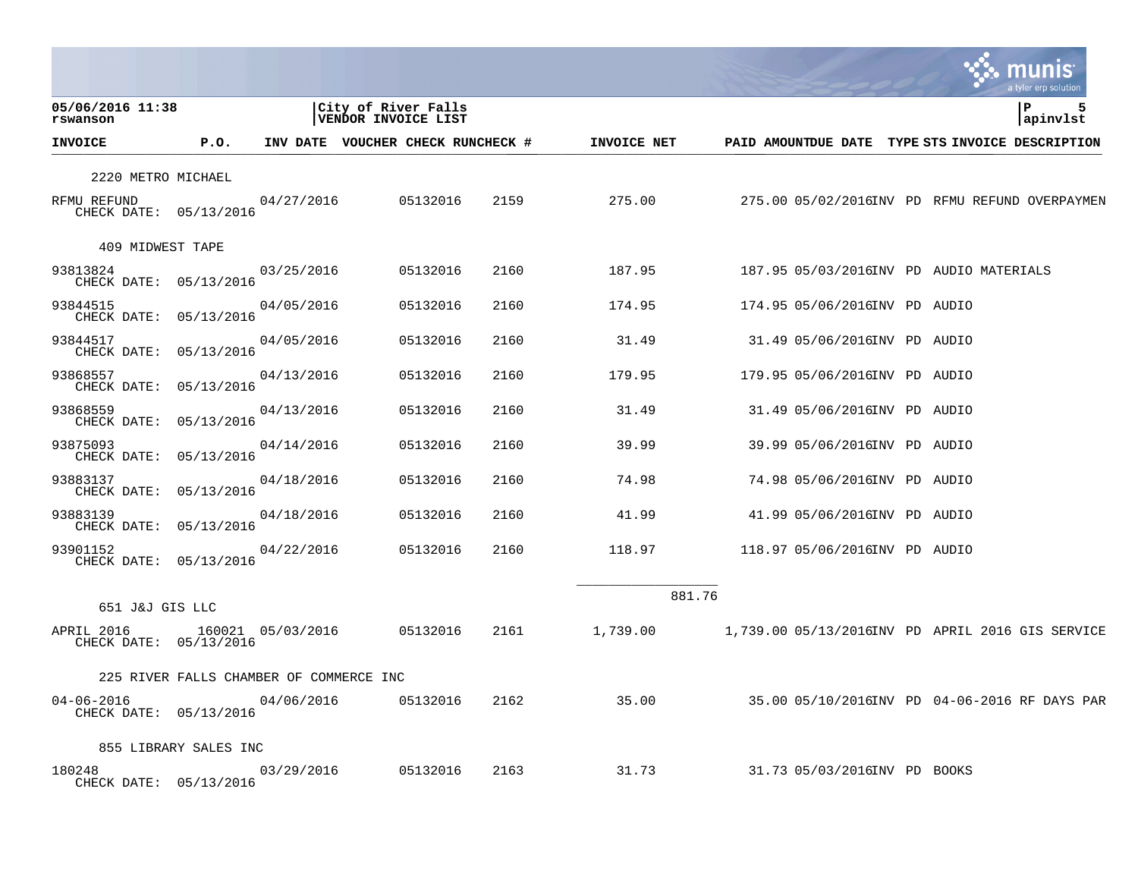|                                            |                                         |                   |                                            |      |             |        |                                         |  | a tyler erp solution                             |
|--------------------------------------------|-----------------------------------------|-------------------|--------------------------------------------|------|-------------|--------|-----------------------------------------|--|--------------------------------------------------|
| 05/06/2016 11:38<br>rswanson               |                                         |                   | City of River Falls<br>VENDOR INVOICE LIST |      |             |        |                                         |  | l P<br>apinvlst                                  |
| <b>INVOICE</b>                             | P.O.                                    |                   | INV DATE VOUCHER CHECK RUNCHECK #          |      | INVOICE NET |        |                                         |  | PAID AMOUNTDUE DATE TYPE STS INVOICE DESCRIPTION |
| 2220 METRO MICHAEL                         |                                         |                   |                                            |      |             |        |                                         |  |                                                  |
| RFMU REFUND<br>CHECK DATE: 05/13/2016      |                                         | 04/27/2016        | 05132016                                   | 2159 | 275.00      |        |                                         |  | 275.00 05/02/2016INV PD RFMU REFUND OVERPAYMEN   |
| 409 MIDWEST TAPE                           |                                         |                   |                                            |      |             |        |                                         |  |                                                  |
| 93813824<br>CHECK DATE: 05/13/2016         |                                         | 03/25/2016        | 05132016                                   | 2160 | 187.95      |        | 187.95 05/03/2016INV PD AUDIO MATERIALS |  |                                                  |
| 93844515<br>CHECK DATE: 05/13/2016         |                                         | 04/05/2016        | 05132016                                   | 2160 | 174.95      |        | 174.95 05/06/2016INV PD AUDIO           |  |                                                  |
| 93844517<br>CHECK DATE: 05/13/2016         |                                         | 04/05/2016        | 05132016                                   | 2160 | 31.49       |        | 31.49 05/06/2016INV PD AUDIO            |  |                                                  |
| 93868557<br>CHECK DATE: 05/13/2016         |                                         | 04/13/2016        | 05132016                                   | 2160 | 179.95      |        | 179.95 05/06/2016INV PD AUDIO           |  |                                                  |
| 93868559<br>CHECK DATE: 05/13/2016         |                                         | 04/13/2016        | 05132016                                   | 2160 | 31.49       |        | 31.49 05/06/2016INV PD AUDIO            |  |                                                  |
| 93875093<br>CHECK DATE: 05/13/2016         |                                         | 04/14/2016        | 05132016                                   | 2160 | 39.99       |        | 39.99 05/06/2016INV PD AUDIO            |  |                                                  |
| 93883137<br>CHECK DATE: 05/13/2016         |                                         | 04/18/2016        | 05132016                                   | 2160 | 74.98       |        | 74.98 05/06/2016INV PD AUDIO            |  |                                                  |
| 93883139<br>CHECK DATE: 05/13/2016         |                                         | 04/18/2016        | 05132016                                   | 2160 | 41.99       |        | 41.99 05/06/2016INV PD AUDIO            |  |                                                  |
| 93901152<br>CHECK DATE: 05/13/2016         |                                         | 04/22/2016        | 05132016                                   | 2160 | 118.97      |        | 118.97 05/06/2016INV PD AUDIO           |  |                                                  |
| 651 J&J GIS LLC                            |                                         |                   |                                            |      |             | 881.76 |                                         |  |                                                  |
| APRIL 2016<br>CHECK DATE: 05/13/2016       |                                         | 160021 05/03/2016 | 05132016                                   | 2161 | 1,739.00    |        |                                         |  | 1,739.00 05/13/2016INV PD APRIL 2016 GIS SERVICE |
|                                            | 225 RIVER FALLS CHAMBER OF COMMERCE INC |                   |                                            |      |             |        |                                         |  |                                                  |
| $04 - 06 - 2016$<br>CHECK DATE: 05/13/2016 |                                         | 04/06/2016        | 05132016                                   | 2162 | 35.00       |        |                                         |  | 35.00 05/10/2016INV PD 04-06-2016 RF DAYS PAR    |
|                                            | 855 LIBRARY SALES INC                   |                   |                                            |      |             |        |                                         |  |                                                  |
| 180248<br>CHECK DATE: 05/13/2016           |                                         | 03/29/2016        | 05132016                                   | 2163 | 31.73       |        | 31.73 05/03/2016INV PD BOOKS            |  |                                                  |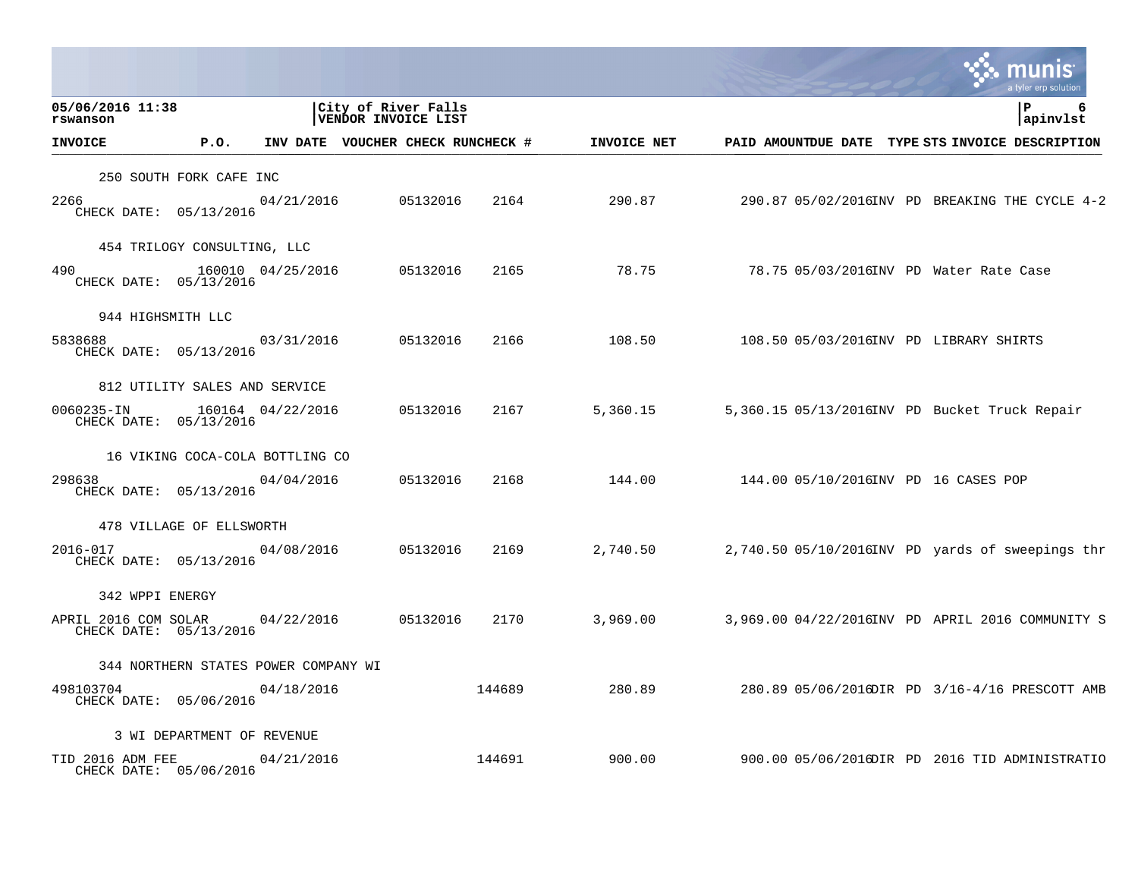|                                                |                                      |                   |                                            |        |             |                                        |  | a tyler erp solution                               |
|------------------------------------------------|--------------------------------------|-------------------|--------------------------------------------|--------|-------------|----------------------------------------|--|----------------------------------------------------|
| 05/06/2016 11:38<br>rswanson                   |                                      |                   | City of River Falls<br>VENDOR INVOICE LIST |        |             |                                        |  | l P<br>6<br>apinvlst                               |
| <b>INVOICE</b>                                 | P.O.                                 |                   | INV DATE VOUCHER CHECK RUNCHECK #          |        | INVOICE NET |                                        |  | PAID AMOUNTDUE DATE TYPE STS INVOICE DESCRIPTION   |
|                                                | 250 SOUTH FORK CAFE INC              |                   |                                            |        |             |                                        |  |                                                    |
| 2266<br>CHECK DATE: 05/13/2016                 |                                      | 04/21/2016        | 05132016                                   | 2164   | 290.87      |                                        |  | 290.87 05/02/2016INV PD BREAKING THE CYCLE 4-2     |
|                                                | 454 TRILOGY CONSULTING, LLC          |                   |                                            |        |             |                                        |  |                                                    |
| 490<br>CHECK DATE: 05/13/2016                  |                                      | 160010 04/25/2016 | 05132016                                   | 2165   | 78.75       |                                        |  | 78.75 05/03/2016INV PD Water Rate Case             |
|                                                | 944 HIGHSMITH LLC                    |                   |                                            |        |             |                                        |  |                                                    |
| 5838688<br>CHECK DATE: 05/13/2016              |                                      | 03/31/2016        | 05132016                                   | 2166   | 108.50      | 108.50 05/03/2016INV PD LIBRARY SHIRTS |  |                                                    |
|                                                | 812 UTILITY SALES AND SERVICE        |                   |                                            |        |             |                                        |  |                                                    |
| 0060235-IN<br>CHECK DATE: 05/13/2016           |                                      | 160164 04/22/2016 | 05132016                                   | 2167   | 5,360.15    |                                        |  | 5,360.15 05/13/2016INV PD Bucket Truck Repair      |
|                                                | 16 VIKING COCA-COLA BOTTLING CO      |                   |                                            |        |             |                                        |  |                                                    |
| 298638<br>CHECK DATE: 05/13/2016               |                                      | 04/04/2016        | 05132016                                   | 2168   | 144.00      | 144.00 05/10/2016INV PD 16 CASES POP   |  |                                                    |
|                                                | 478 VILLAGE OF ELLSWORTH             |                   |                                            |        |             |                                        |  |                                                    |
| 2016-017<br>CHECK DATE: 05/13/2016             |                                      | 04/08/2016        | 05132016                                   | 2169   | 2,740.50    |                                        |  | $2,740.50$ 05/10/2016INV PD yards of sweepings thr |
| 342 WPPI ENERGY                                |                                      |                   |                                            |        |             |                                        |  |                                                    |
| APRIL 2016 COM SOLAR<br>CHECK DATE: 05/13/2016 |                                      | 04/22/2016        | 05132016                                   | 2170   | 3,969.00    |                                        |  | 3,969.00 04/22/2016INV PD APRIL 2016 COMMUNITY S   |
|                                                | 344 NORTHERN STATES POWER COMPANY WI |                   |                                            |        |             |                                        |  |                                                    |
| 498103704<br>CHECK DATE: 05/06/2016            |                                      | 04/18/2016        |                                            | 144689 | 280.89      |                                        |  | 280.89 05/06/2016DIR PD 3/16-4/16 PRESCOTT AMB     |
|                                                | 3 WI DEPARTMENT OF REVENUE           |                   |                                            |        |             |                                        |  |                                                    |
| TID 2016 ADM FEE<br>CHECK DATE: 05/06/2016     |                                      | 04/21/2016        |                                            | 144691 | 900.00      |                                        |  | 900.00 05/06/2016DIR PD 2016 TID ADMINISTRATIO     |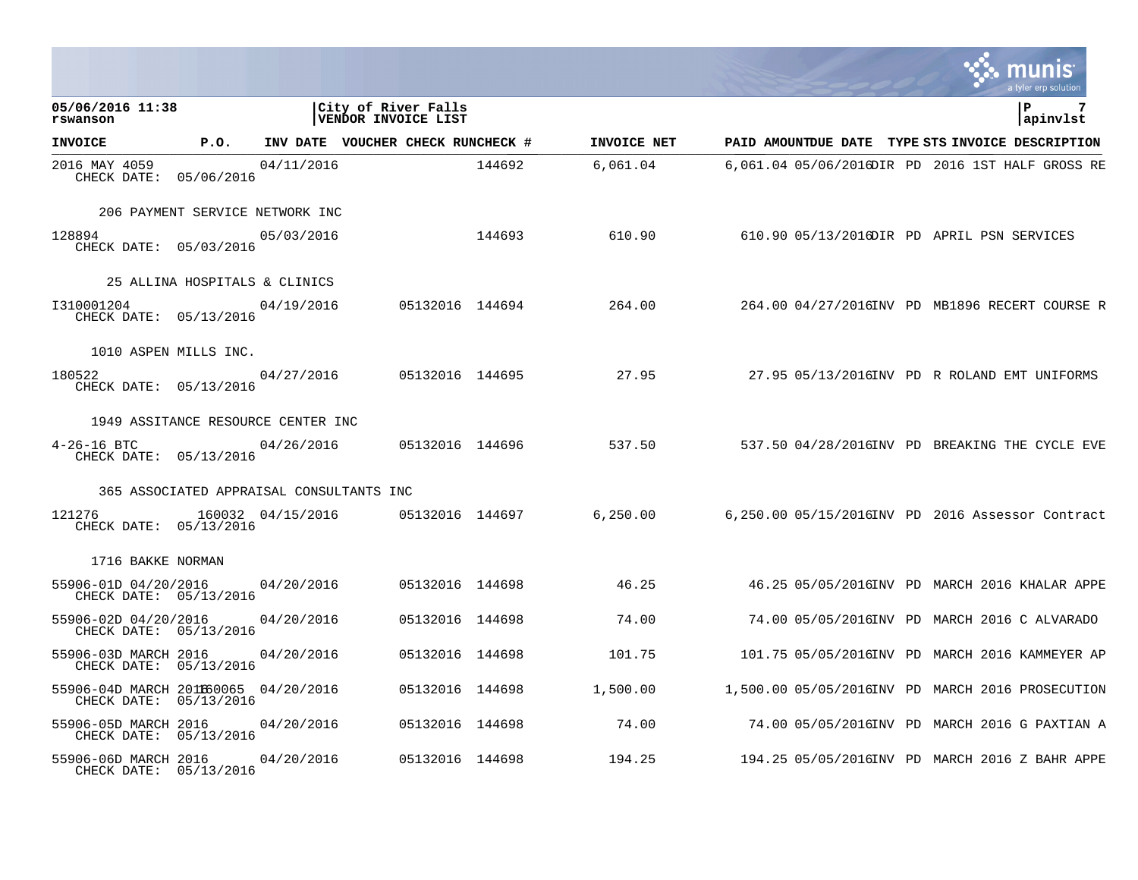|                                                                 |                                          |                   |                                            |                 |             |                                                  |  | a tyler erp solution     |  |
|-----------------------------------------------------------------|------------------------------------------|-------------------|--------------------------------------------|-----------------|-------------|--------------------------------------------------|--|--------------------------|--|
| 05/06/2016 11:38<br>rswanson                                    |                                          |                   | City of River Falls<br>VENDOR INVOICE LIST |                 |             |                                                  |  | $\mathbf{P}$<br>apinvlst |  |
| <b>INVOICE</b>                                                  | P.O.                                     |                   | INV DATE VOUCHER CHECK RUNCHECK #          |                 | INVOICE NET | PAID AMOUNTDUE DATE TYPE STS INVOICE DESCRIPTION |  |                          |  |
| 2016 MAY 4059<br>CHECK DATE: 05/06/2016                         |                                          | 04/11/2016        |                                            | 144692          | 6,061.04    | 6,061.04 05/06/2016DIR PD 2016 1ST HALF GROSS RE |  |                          |  |
|                                                                 | 206 PAYMENT SERVICE NETWORK INC          |                   |                                            |                 |             |                                                  |  |                          |  |
| 128894<br>CHECK DATE: 05/03/2016                                |                                          | 05/03/2016        |                                            | 144693          | 610.90      | 610.90 05/13/2016DIR PD APRIL PSN SERVICES       |  |                          |  |
|                                                                 | 25 ALLINA HOSPITALS & CLINICS            |                   |                                            |                 |             |                                                  |  |                          |  |
| 1310001204<br>CHECK DATE: 05/13/2016                            |                                          | 04/19/2016        |                                            | 05132016 144694 | 264.00      | 264.00 04/27/2016INV PD MB1896 RECERT COURSE R   |  |                          |  |
|                                                                 | 1010 ASPEN MILLS INC.                    |                   |                                            |                 |             |                                                  |  |                          |  |
| 180522<br>CHECK DATE: 05/13/2016                                |                                          | 04/27/2016        | 05132016 144695                            |                 | 27.95       | 27.95 05/13/2016INV PD R ROLAND EMT UNIFORMS     |  |                          |  |
|                                                                 | 1949 ASSITANCE RESOURCE CENTER INC       |                   |                                            |                 |             |                                                  |  |                          |  |
| $4 - 26 - 16$ BTC<br>CHECK DATE: 05/13/2016                     |                                          | 04/26/2016        |                                            | 05132016 144696 | 537.50      | 537.50 04/28/2016INV PD BREAKING THE CYCLE EVE   |  |                          |  |
|                                                                 | 365 ASSOCIATED APPRAISAL CONSULTANTS INC |                   |                                            |                 |             |                                                  |  |                          |  |
| 121276<br>CHECK DATE: 05/13/2016                                |                                          | 160032 04/15/2016 |                                            | 05132016 144697 | 6, 250.00   | 6,250.00 05/15/2016INV PD 2016 Assessor Contract |  |                          |  |
| 1716 BAKKE NORMAN                                               |                                          |                   |                                            |                 |             |                                                  |  |                          |  |
| 55906-01D 04/20/2016<br>CHECK DATE: 05/13/2016                  |                                          | 04/20/2016        |                                            | 05132016 144698 | 46.25       | 46.25 05/05/2016INV PD MARCH 2016 KHALAR APPE    |  |                          |  |
| 55906-02D 04/20/2016<br>CHECK DATE: 05/13/2016                  |                                          | 04/20/2016        |                                            | 05132016 144698 | 74.00       | 74.00 05/05/2016INV PD MARCH 2016 C ALVARADO     |  |                          |  |
| 55906-03D MARCH 2016<br>CHECK DATE: 05/13/2016                  |                                          | 04/20/2016        | 05132016 144698                            |                 | 101.75      | 101.75 05/05/2016INV PD MARCH 2016 KAMMEYER AP   |  |                          |  |
| 55906-04D MARCH 2011660065 04/20/2016<br>CHECK DATE: 05/13/2016 |                                          |                   |                                            | 05132016 144698 | 1,500.00    | 1,500.00 05/05/2016INV PD MARCH 2016 PROSECUTION |  |                          |  |
| 55906-05D MARCH 2016<br>CHECK DATE: 05/13/2016                  |                                          | 04/20/2016        | 05132016 144698                            |                 | 74.00       | 74.00 05/05/2016INV PD MARCH 2016 G PAXTIAN A    |  |                          |  |
| 55906-06D MARCH 2016<br>CHECK DATE: 05/13/2016                  |                                          | 04/20/2016        | 05132016 144698                            |                 | 194.25      | 194.25 05/05/2016INV PD MARCH 2016 Z BAHR APPE   |  |                          |  |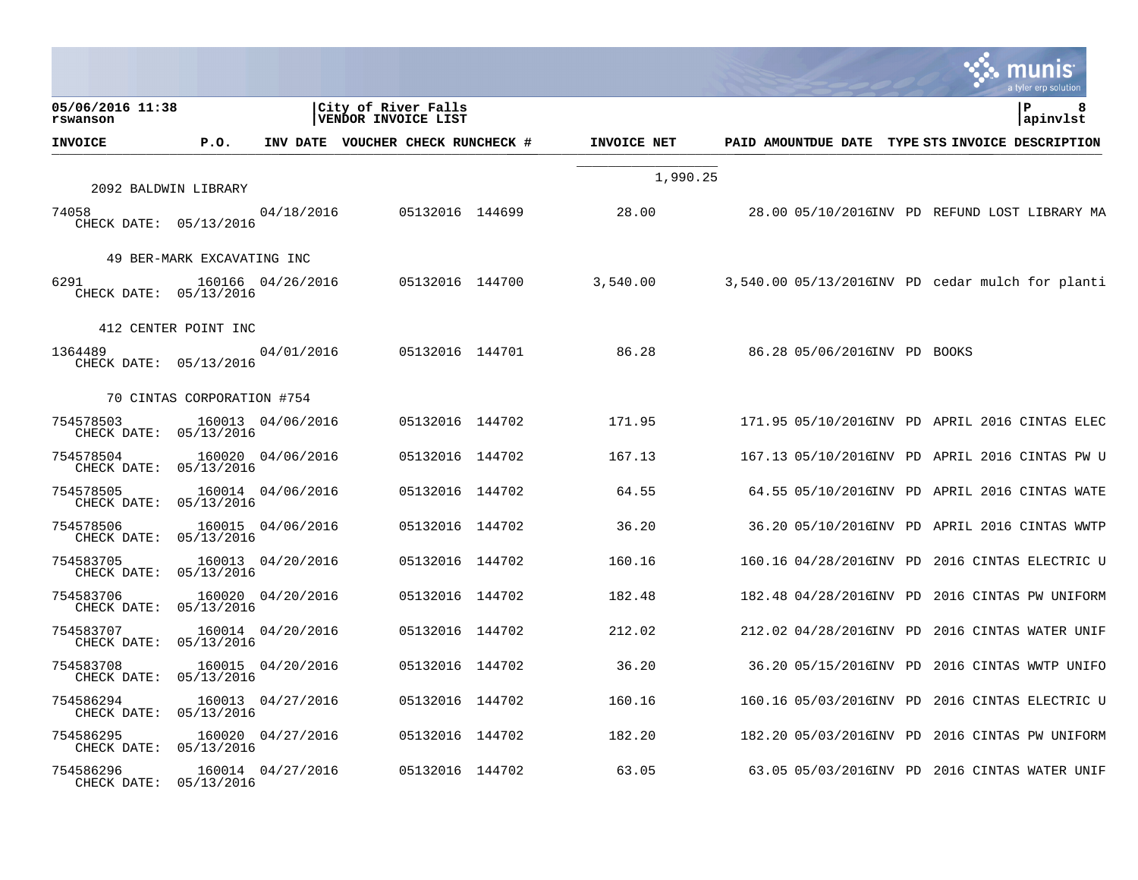|                                     |                            |                   |                                            |             |                                                  |  | munis<br>a tyler erp solution |
|-------------------------------------|----------------------------|-------------------|--------------------------------------------|-------------|--------------------------------------------------|--|-------------------------------|
| 05/06/2016 11:38<br>rswanson        |                            |                   | City of River Falls<br>VENDOR INVOICE LIST |             |                                                  |  | P<br>8<br>apinvlst            |
| <b>INVOICE</b>                      | P.O.                       |                   | INV DATE VOUCHER CHECK RUNCHECK #          | INVOICE NET | PAID AMOUNTDUE DATE TYPE STS INVOICE DESCRIPTION |  |                               |
|                                     | 2092 BALDWIN LIBRARY       |                   |                                            | 1,990.25    |                                                  |  |                               |
| 74058<br>CHECK DATE: 05/13/2016     |                            | 04/18/2016        | 05132016 144699                            | 28.00       | 28.00 05/10/2016INV PD REFUND LOST LIBRARY MA    |  |                               |
|                                     | 49 BER-MARK EXCAVATING INC |                   |                                            |             |                                                  |  |                               |
| 6291<br>CHECK DATE: 05/13/2016      |                            | 160166 04/26/2016 | 05132016 144700                            | 3,540.00    | 3,540.00 05/13/2016INV PD cedar mulch for planti |  |                               |
|                                     | 412 CENTER POINT INC       |                   |                                            |             |                                                  |  |                               |
| 1364489<br>CHECK DATE: 05/13/2016   |                            | 04/01/2016        | 05132016 144701                            | 86.28       | 86.28 05/06/2016INV PD BOOKS                     |  |                               |
|                                     | 70 CINTAS CORPORATION #754 |                   |                                            |             |                                                  |  |                               |
| 754578503<br>CHECK DATE: 05/13/2016 |                            | 160013 04/06/2016 | 05132016 144702                            | 171.95      | 171.95 05/10/2016INV PD APRIL 2016 CINTAS ELEC   |  |                               |
| 754578504<br>CHECK DATE: 05/13/2016 |                            | 160020 04/06/2016 | 05132016 144702                            | 167.13      | 167.13 05/10/2016INV PD APRIL 2016 CINTAS PW U   |  |                               |
| 754578505<br>CHECK DATE: 05/13/2016 |                            | 160014 04/06/2016 | 05132016 144702                            | 64.55       | 64.55 05/10/2016INV PD APRIL 2016 CINTAS WATE    |  |                               |
| 754578506<br>CHECK DATE: 05/13/2016 |                            | 160015 04/06/2016 | 05132016 144702                            | 36.20       | 36.20 05/10/2016INV PD APRIL 2016 CINTAS WWTP    |  |                               |
| 754583705<br>CHECK DATE: 05/13/2016 |                            | 160013 04/20/2016 | 05132016 144702                            | 160.16      | 160.16 04/28/2016INV PD 2016 CINTAS ELECTRIC U   |  |                               |
| 754583706<br>CHECK DATE: 05/13/2016 |                            | 160020 04/20/2016 | 05132016 144702                            | 182.48      | 182.48 04/28/2016INV PD 2016 CINTAS PW UNIFORM   |  |                               |
| 754583707<br>CHECK DATE: 05/13/2016 |                            | 160014 04/20/2016 | 05132016 144702                            | 212.02      | 212.02 04/28/2016INV PD 2016 CINTAS WATER UNIF   |  |                               |
| 754583708<br>CHECK DATE: 05/13/2016 |                            | 160015 04/20/2016 | 05132016 144702                            | 36.20       | 36.20 05/15/2016INV PD 2016 CINTAS WWTP UNIFO    |  |                               |
| 754586294<br>CHECK DATE: 05/13/2016 |                            | 160013 04/27/2016 | 05132016 144702                            | 160.16      | 160.16 05/03/2016INV PD 2016 CINTAS ELECTRIC U   |  |                               |
| 754586295<br>CHECK DATE: 05/13/2016 |                            | 160020 04/27/2016 | 05132016 144702                            | 182.20      | 182.20 05/03/2016INV PD 2016 CINTAS PW UNIFORM   |  |                               |
| 754586296<br>CHECK DATE:            | 05/13/2016                 | 160014 04/27/2016 | 05132016 144702                            | 63.05       | 63.05 05/03/2016INV PD 2016 CINTAS WATER UNIF    |  |                               |

 $\bullet$ 

**Tara**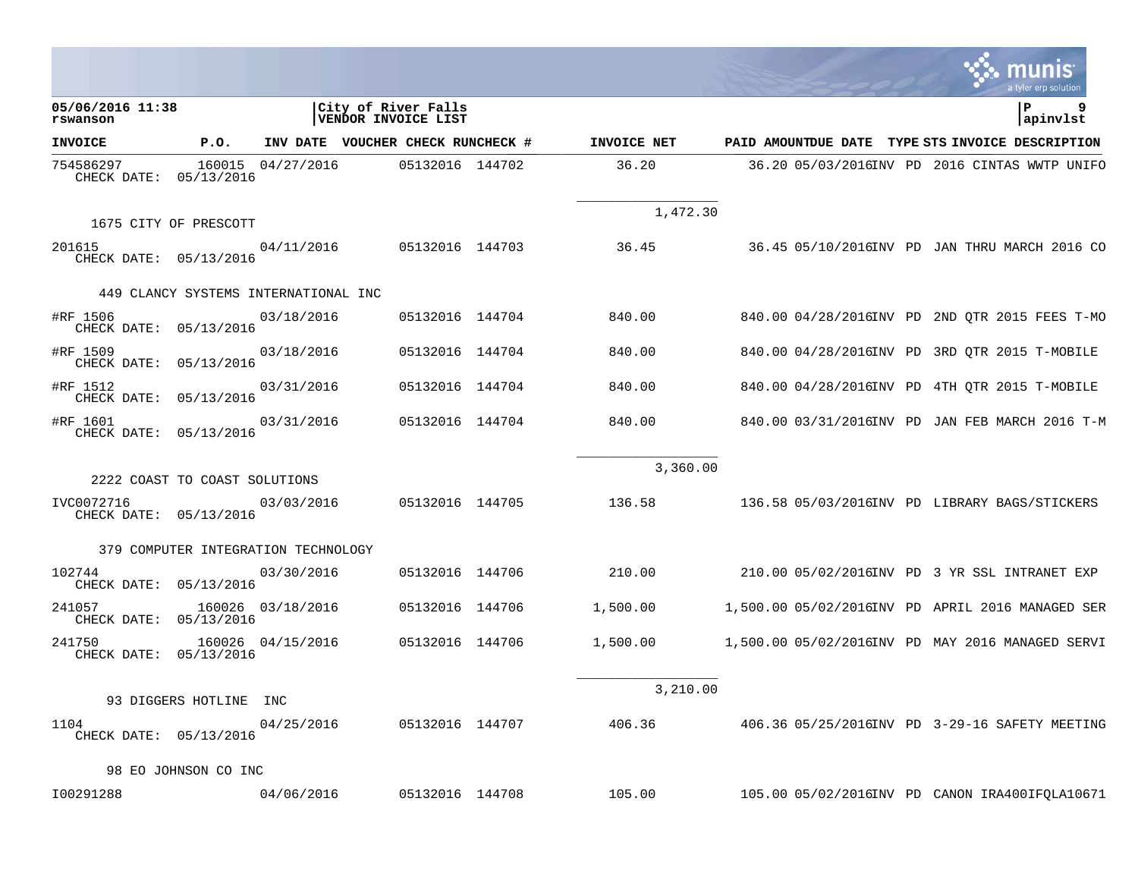|                                      |                                      |                   |                                            |             |          | a tyler erp solution                             |
|--------------------------------------|--------------------------------------|-------------------|--------------------------------------------|-------------|----------|--------------------------------------------------|
| 05/06/2016 11:38<br>rswanson         |                                      |                   | City of River Falls<br>VENDOR INVOICE LIST |             |          | P<br>apinvlst                                    |
| <b>INVOICE</b>                       | P.O.                                 |                   | INV DATE VOUCHER CHECK RUNCHECK #          | INVOICE NET |          | PAID AMOUNTDUE DATE TYPE STS INVOICE DESCRIPTION |
| 754586297<br>CHECK DATE: 05/13/2016  |                                      | 160015 04/27/2016 | 05132016 144702                            | 36.20       |          | 36.20 05/03/2016INV PD 2016 CINTAS WWTP UNIFO    |
|                                      | 1675 CITY OF PRESCOTT                |                   |                                            |             | 1,472.30 |                                                  |
| 201615<br>CHECK DATE: 05/13/2016     |                                      | 04/11/2016        | 05132016 144703                            | 36.45       |          | 36.45 05/10/2016INV PD JAN THRU MARCH 2016 CO    |
|                                      | 449 CLANCY SYSTEMS INTERNATIONAL INC |                   |                                            |             |          |                                                  |
| #RF 1506<br>CHECK DATE: 05/13/2016   |                                      | 03/18/2016        | 05132016 144704                            | 840.00      |          | 840.00 04/28/2016INV PD 2ND QTR 2015 FEES T-MO   |
| #RF 1509<br>CHECK DATE:              | 05/13/2016                           | 03/18/2016        | 05132016 144704                            | 840.00      |          | 840.00 04/28/2016INV PD 3RD QTR 2015 T-MOBILE    |
| #RF 1512<br>CHECK DATE:              | 05/13/2016                           | 03/31/2016        | 05132016 144704                            | 840.00      |          | 840.00 04/28/2016INV PD 4TH OTR 2015 T-MOBILE    |
| #RF 1601<br>CHECK DATE: 05/13/2016   |                                      | 03/31/2016        | 05132016 144704                            | 840.00      |          | 840.00 03/31/2016INV PD JAN FEB MARCH 2016 T-M   |
|                                      | 2222 COAST TO COAST SOLUTIONS        |                   |                                            |             | 3,360.00 |                                                  |
| IVC0072716<br>CHECK DATE: 05/13/2016 |                                      | 03/03/2016        | 05132016 144705                            | 136.58      |          | 136.58 05/03/2016INV PD LIBRARY BAGS/STICKERS    |
|                                      | 379 COMPUTER INTEGRATION TECHNOLOGY  |                   |                                            |             |          |                                                  |
| 102744<br>CHECK DATE: 05/13/2016     |                                      | 03/30/2016        | 05132016 144706                            | 210.00      |          | 210.00 05/02/2016INV PD 3 YR SSL INTRANET EXP    |
| 241057<br>CHECK DATE: 05/13/2016     |                                      | 160026 03/18/2016 | 05132016 144706                            | 1,500.00    |          | 1,500.00 05/02/2016INV PD APRIL 2016 MANAGED SER |
| 241750<br>CHECK DATE: 05/13/2016     |                                      | 160026 04/15/2016 | 05132016 144706                            | 1,500.00    |          | 1,500.00 05/02/2016INV PD MAY 2016 MANAGED SERVI |
|                                      | 93 DIGGERS HOTLINE INC               |                   |                                            |             | 3,210.00 |                                                  |
| 1104<br>CHECK DATE: 05/13/2016       |                                      | 04/25/2016        | 05132016 144707                            | 406.36      |          | 406.36 05/25/2016INV PD 3-29-16 SAFETY MEETING   |
|                                      | 98 EO JOHNSON CO INC                 |                   |                                            |             |          |                                                  |
| I00291288                            |                                      | 04/06/2016        | 05132016 144708                            | 105.00      |          | 105.00 05/02/2016INV PD CANON IRA400IFQLA10671   |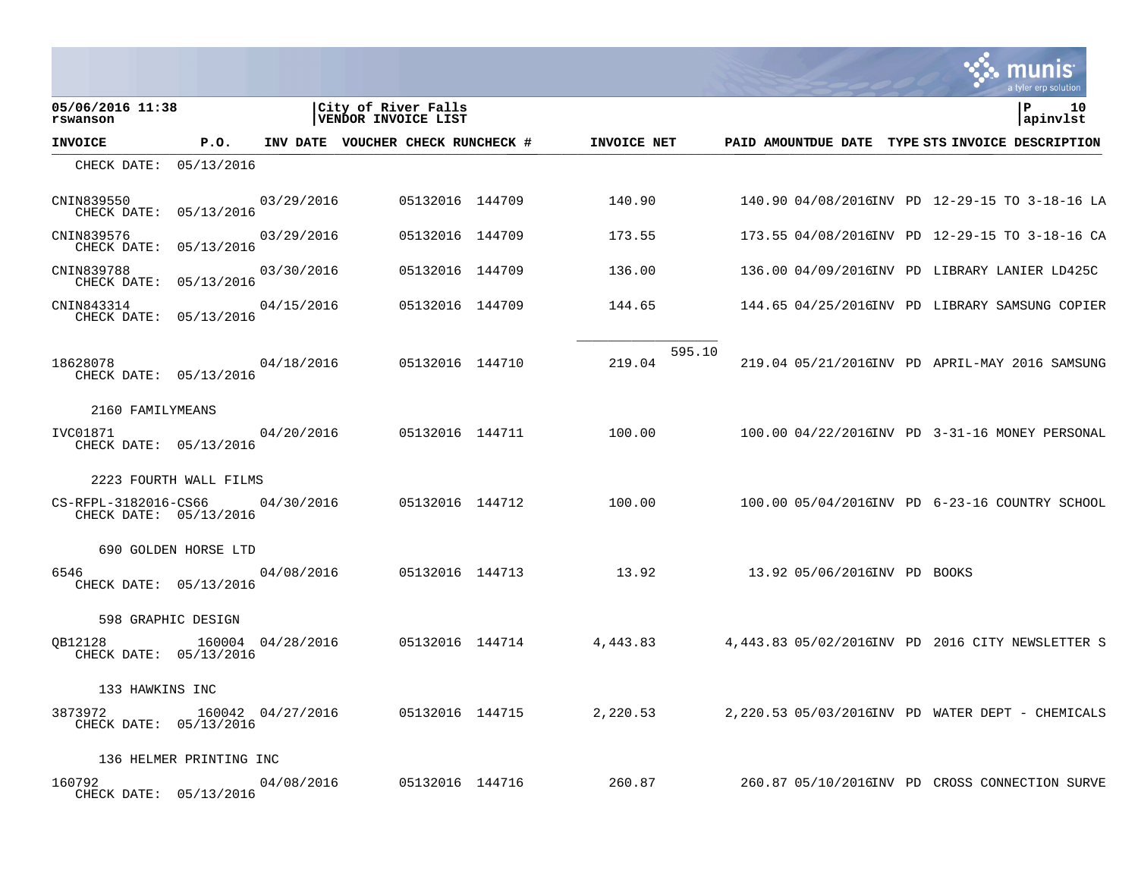|                                                |                         |                   |                                            |                 |                 |             |        |                              |  | munis<br>a tyler erp solution                    |
|------------------------------------------------|-------------------------|-------------------|--------------------------------------------|-----------------|-----------------|-------------|--------|------------------------------|--|--------------------------------------------------|
| 05/06/2016 11:38<br>rswanson                   |                         |                   | City of River Falls<br>VENDOR INVOICE LIST |                 |                 |             |        |                              |  | l P<br>10<br> apinvlst                           |
| <b>INVOICE</b>                                 | P.O.                    |                   | INV DATE VOUCHER CHECK RUNCHECK #          |                 |                 | INVOICE NET |        |                              |  | PAID AMOUNTDUE DATE TYPE STS INVOICE DESCRIPTION |
| CHECK DATE: 05/13/2016                         |                         |                   |                                            |                 |                 |             |        |                              |  |                                                  |
| CNIN839550<br>CHECK DATE: 05/13/2016           |                         | 03/29/2016        |                                            | 05132016 144709 |                 | 140.90      |        |                              |  | 140.90 04/08/2016INV PD 12-29-15 TO 3-18-16 LA   |
| CNIN839576<br>CHECK DATE: 05/13/2016           |                         | 03/29/2016        |                                            | 05132016 144709 |                 | 173.55      |        |                              |  | 173.55 04/08/2016INV PD 12-29-15 TO 3-18-16 CA   |
| CNIN839788<br>CHECK DATE: 05/13/2016           |                         | 03/30/2016        |                                            | 05132016 144709 |                 | 136.00      |        |                              |  | 136.00 04/09/2016INV PD LIBRARY LANIER LD425C    |
| CNIN843314<br>CHECK DATE: 05/13/2016           |                         | 04/15/2016        |                                            | 05132016 144709 |                 | 144.65      |        |                              |  | 144.65 04/25/2016INV PD LIBRARY SAMSUNG COPIER   |
| 18628078<br>CHECK DATE: 05/13/2016             |                         | 04/18/2016        |                                            | 05132016 144710 |                 | 219.04      | 595.10 |                              |  | 219.04 05/21/2016INV PD APRIL-MAY 2016 SAMSUNG   |
| 2160 FAMILYMEANS                               |                         |                   |                                            |                 |                 |             |        |                              |  |                                                  |
| IVC01871<br>CHECK DATE: 05/13/2016             |                         | 04/20/2016        |                                            |                 | 05132016 144711 | 100.00      |        |                              |  | 100.00 04/22/2016INV PD 3-31-16 MONEY PERSONAL   |
|                                                | 2223 FOURTH WALL FILMS  |                   |                                            |                 |                 |             |        |                              |  |                                                  |
| CS-RFPL-3182016-CS66<br>CHECK DATE: 05/13/2016 |                         | 04/30/2016        |                                            |                 | 05132016 144712 | 100.00      |        |                              |  | 100.00 05/04/2016INV PD 6-23-16 COUNTRY SCHOOL   |
|                                                | 690 GOLDEN HORSE LTD    |                   |                                            |                 |                 |             |        |                              |  |                                                  |
| 6546<br>CHECK DATE: 05/13/2016                 |                         | 04/08/2016        |                                            |                 | 05132016 144713 | 13.92       |        | 13.92 05/06/2016INV PD BOOKS |  |                                                  |
|                                                | 598 GRAPHIC DESIGN      |                   |                                            |                 |                 |             |        |                              |  |                                                  |
| OB12128<br>CHECK DATE: 05/13/2016              |                         | 160004 04/28/2016 |                                            |                 | 05132016 144714 | 4,443.83    |        |                              |  | 4,443.83 05/02/2016INV PD 2016 CITY NEWSLETTER S |
| 133 HAWKINS INC                                |                         |                   |                                            |                 |                 |             |        |                              |  |                                                  |
| 3873972<br>CHECK DATE: 05/13/2016              |                         | 160042 04/27/2016 |                                            |                 | 05132016 144715 | 2,220.53    |        |                              |  | 2,220.53 05/03/2016INV PD WATER DEPT - CHEMICALS |
|                                                | 136 HELMER PRINTING INC |                   |                                            |                 |                 |             |        |                              |  |                                                  |
| 160792<br>CHECK DATE: 05/13/2016               |                         | 04/08/2016        |                                            |                 | 05132016 144716 | 260.87      |        |                              |  | 260.87 05/10/2016INV PD CROSS CONNECTION SURVE   |

 $\mathcal{L}^{\text{max}}$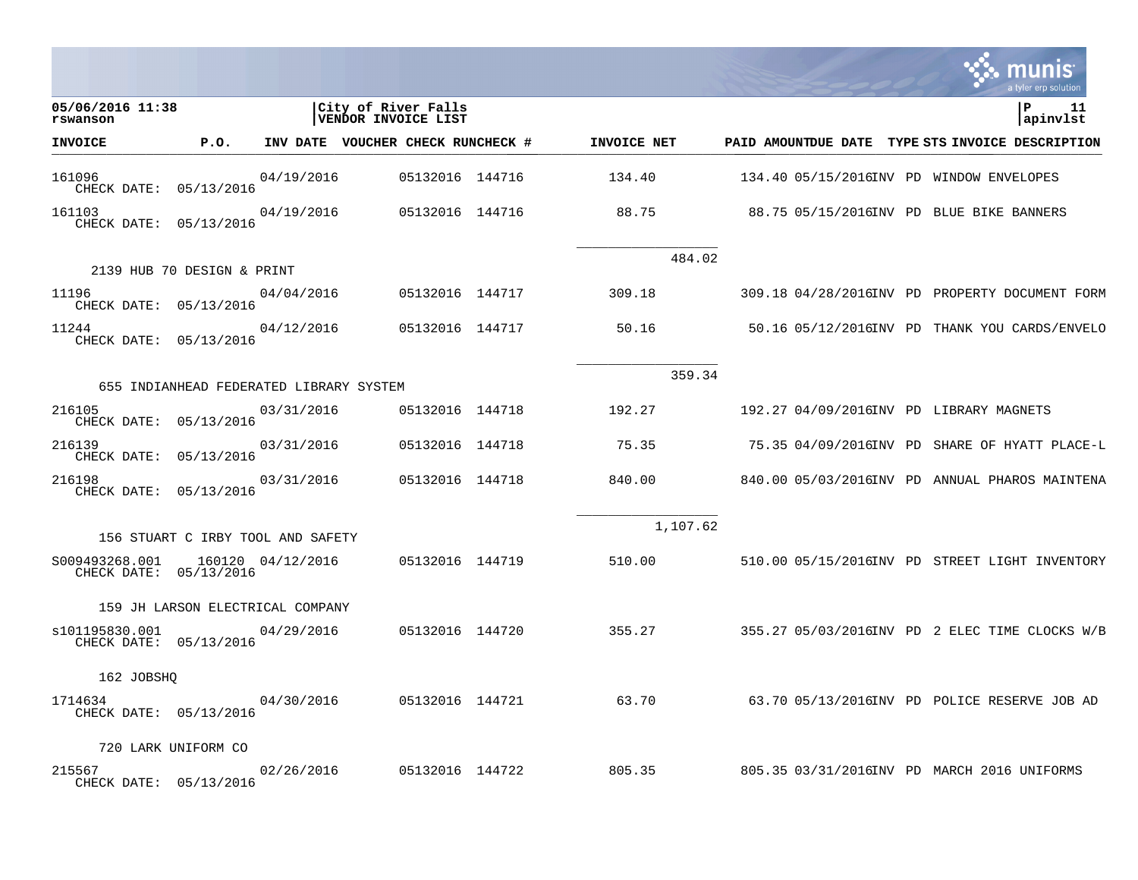|                                          |                                         |                   |                                            |             |                                                  |  | a tyler erp solution |
|------------------------------------------|-----------------------------------------|-------------------|--------------------------------------------|-------------|--------------------------------------------------|--|----------------------|
| 05/06/2016 11:38<br>rswanson             |                                         |                   | City of River Falls<br>VENDOR INVOICE LIST |             |                                                  |  | ∣P<br>11<br>apinvlst |
| <b>INVOICE</b>                           | P.O.                                    |                   | INV DATE VOUCHER CHECK RUNCHECK #          | INVOICE NET | PAID AMOUNTDUE DATE TYPE STS INVOICE DESCRIPTION |  |                      |
| 161096<br>CHECK DATE: 05/13/2016         |                                         | 04/19/2016        | 05132016 144716                            | 134.40      | 134.40 05/15/2016INV PD WINDOW ENVELOPES         |  |                      |
| 161103<br>CHECK DATE: 05/13/2016         |                                         | 04/19/2016        | 05132016 144716                            | 88.75       | 88.75 05/15/2016INV PD BLUE BIKE BANNERS         |  |                      |
|                                          | 2139 HUB 70 DESIGN & PRINT              |                   |                                            | 484.02      |                                                  |  |                      |
| 11196<br>CHECK DATE: 05/13/2016          |                                         | 04/04/2016        | 05132016 144717                            | 309.18      | 309.18 04/28/2016INV PD PROPERTY DOCUMENT FORM   |  |                      |
| 11244<br>CHECK DATE: 05/13/2016          |                                         | 04/12/2016        | 05132016 144717                            | 50.16       | 50.16 05/12/2016INV PD THANK YOU CARDS/ENVELO    |  |                      |
|                                          |                                         |                   |                                            | 359.34      |                                                  |  |                      |
|                                          | 655 INDIANHEAD FEDERATED LIBRARY SYSTEM |                   |                                            |             |                                                  |  |                      |
| 216105<br>CHECK DATE: 05/13/2016         |                                         | 03/31/2016        | 05132016 144718                            | 192.27      | 192.27 04/09/2016INV PD LIBRARY MAGNETS          |  |                      |
| 216139<br>CHECK DATE:                    | 05/13/2016                              | 03/31/2016        | 05132016 144718                            | 75.35       | 75.35 04/09/2016INV PD SHARE OF HYATT PLACE-L    |  |                      |
| 216198<br>CHECK DATE: 05/13/2016         |                                         | 03/31/2016        | 05132016 144718                            | 840.00      | 840.00 05/03/2016INV PD ANNUAL PHAROS MAINTENA   |  |                      |
|                                          |                                         |                   |                                            | 1,107.62    |                                                  |  |                      |
|                                          | 156 STUART C IRBY TOOL AND SAFETY       |                   |                                            |             |                                                  |  |                      |
| S009493268.001<br>CHECK DATE: 05/13/2016 |                                         | 160120 04/12/2016 | 05132016 144719                            | 510.00      | 510.00 05/15/2016INV PD STREET LIGHT INVENTORY   |  |                      |
|                                          | 159 JH LARSON ELECTRICAL COMPANY        |                   |                                            |             |                                                  |  |                      |
| s101195830.001<br>CHECK DATE: 05/13/2016 |                                         | 04/29/2016        | 05132016 144720                            | 355.27      | 355.27 05/03/2016INV PD 2 ELEC TIME CLOCKS W/B   |  |                      |
| 162 JOBSHO                               |                                         |                   |                                            |             |                                                  |  |                      |
| 1714634<br>CHECK DATE: 05/13/2016        |                                         | 04/30/2016        | 05132016 144721                            | 63.70       | 63.70 05/13/2016INV PD POLICE RESERVE JOB AD     |  |                      |
|                                          | 720 LARK UNIFORM CO                     |                   |                                            |             |                                                  |  |                      |
| 215567<br>CHECK DATE: 05/13/2016         |                                         | 02/26/2016        | 05132016 144722                            | 805.35      | 805.35 03/31/2016INV PD MARCH 2016 UNIFORMS      |  |                      |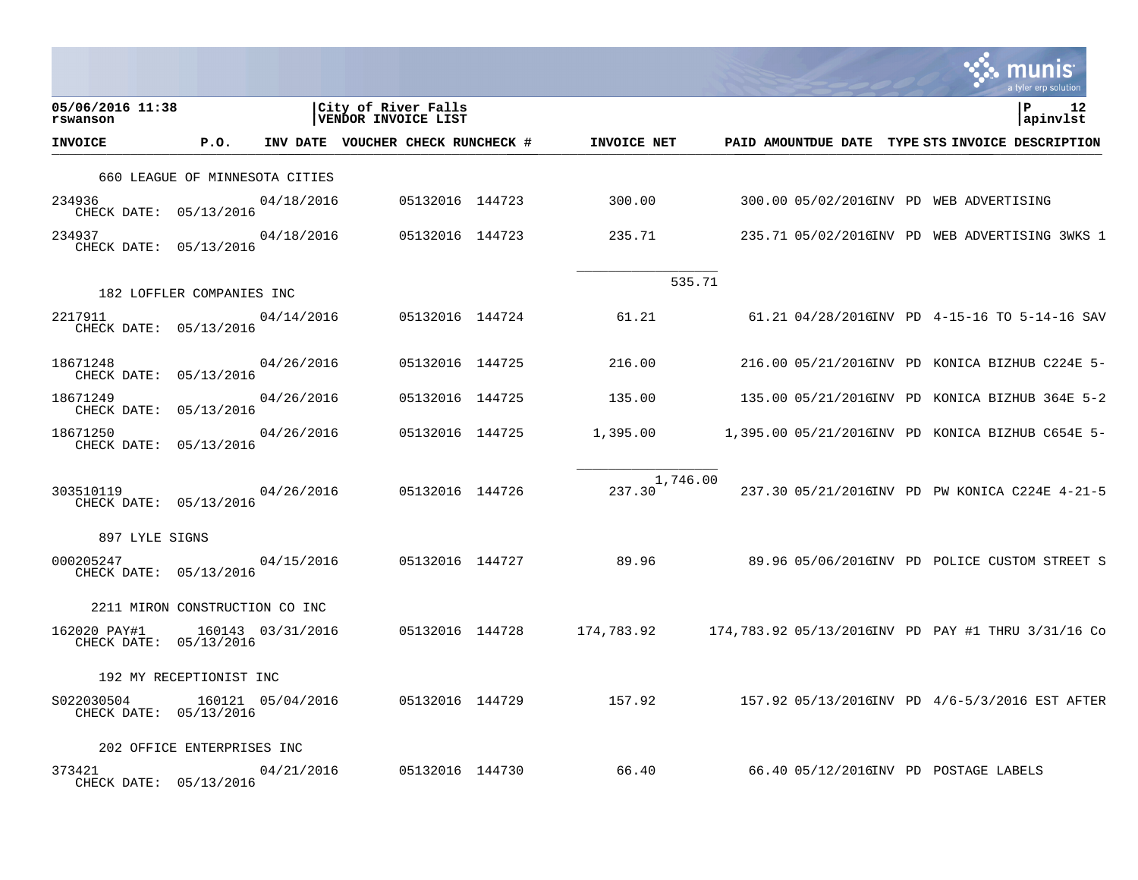|                                        |                                |                   |                                            |                 |                 |                    |        |  | munis<br>a tyler erp solution                    |    |
|----------------------------------------|--------------------------------|-------------------|--------------------------------------------|-----------------|-----------------|--------------------|--------|--|--------------------------------------------------|----|
| 05/06/2016 11:38<br>rswanson           |                                |                   | City of River Falls<br>VENDOR INVOICE LIST |                 |                 |                    |        |  | l P<br>apinvlst                                  | 12 |
| INVOICE                                | P.O.                           |                   | INV DATE VOUCHER CHECK RUNCHECK #          |                 |                 | INVOICE NET        |        |  | PAID AMOUNTDUE DATE TYPE STS INVOICE DESCRIPTION |    |
|                                        | 660 LEAGUE OF MINNESOTA CITIES |                   |                                            |                 |                 |                    |        |  |                                                  |    |
| 234936<br>CHECK DATE: 05/13/2016       |                                | 04/18/2016        |                                            | 05132016 144723 |                 | 300.00             |        |  | 300.00 05/02/2016INV PD WEB ADVERTISING          |    |
| 234937<br>CHECK DATE: 05/13/2016       |                                | 04/18/2016        |                                            | 05132016 144723 |                 | 235.71             |        |  | 235.71 05/02/2016INV PD WEB ADVERTISING 3WKS 1   |    |
|                                        | 182 LOFFLER COMPANIES INC      |                   |                                            |                 |                 |                    | 535.71 |  |                                                  |    |
| 2217911<br>CHECK DATE: 05/13/2016      |                                | 04/14/2016        |                                            | 05132016 144724 |                 | 61.21              |        |  | 61.21 04/28/2016INV PD 4-15-16 TO 5-14-16 SAV    |    |
| 18671248<br>CHECK DATE: 05/13/2016     |                                | 04/26/2016        |                                            | 05132016 144725 |                 | 216.00             |        |  | 216.00 05/21/2016INV PD KONICA BIZHUB C224E 5-   |    |
| 18671249<br>CHECK DATE: 05/13/2016     |                                | 04/26/2016        |                                            | 05132016 144725 |                 | 135.00             |        |  | 135.00 05/21/2016INV PD KONICA BIZHUB 364E 5-2   |    |
| 18671250<br>CHECK DATE: 05/13/2016     |                                | 04/26/2016        |                                            | 05132016 144725 |                 | 1,395.00           |        |  | 1,395.00 05/21/2016INV PD KONICA BIZHUB C654E 5- |    |
| 303510119<br>CHECK DATE: 05/13/2016    |                                | 04/26/2016        |                                            | 05132016 144726 |                 | 1,746.00<br>237.30 |        |  | 237.30 05/21/2016INV PD PW KONICA C224E 4-21-5   |    |
| 897 LYLE SIGNS                         |                                |                   |                                            |                 |                 |                    |        |  |                                                  |    |
| 000205247<br>CHECK DATE: 05/13/2016    |                                | 04/15/2016        |                                            | 05132016 144727 |                 | 89.96              |        |  | 89.96 05/06/2016INV PD POLICE CUSTOM STREET S    |    |
|                                        | 2211 MIRON CONSTRUCTION CO INC |                   |                                            |                 |                 |                    |        |  |                                                  |    |
| 162020 PAY#1<br>CHECK DATE: 05/13/2016 |                                | 160143 03/31/2016 |                                            | 05132016 144728 |                 | 174,783.92         |        |  |                                                  |    |
|                                        | 192 MY RECEPTIONIST INC        |                   |                                            |                 |                 |                    |        |  |                                                  |    |
| S022030504<br>CHECK DATE: 05/13/2016   |                                | 160121 05/04/2016 |                                            |                 | 05132016 144729 | 157.92             |        |  | 157.92 05/13/2016INV PD 4/6-5/3/2016 EST AFTER   |    |
|                                        | 202 OFFICE ENTERPRISES INC     |                   |                                            |                 |                 |                    |        |  |                                                  |    |
| 373421<br>CHECK DATE: 05/13/2016       |                                | 04/21/2016        |                                            | 05132016 144730 |                 | 66.40              |        |  | 66.40 05/12/2016INV PD POSTAGE LABELS            |    |

 $\mathcal{L}^{\text{max}}$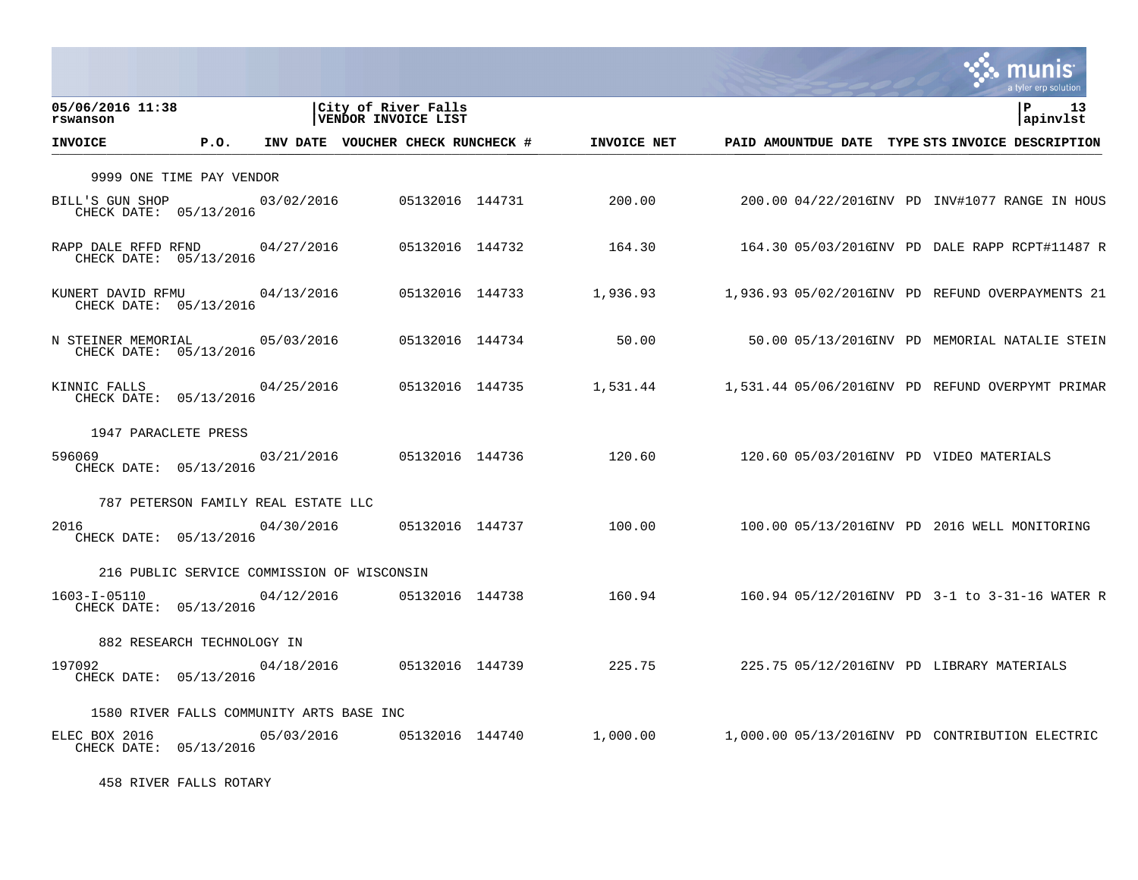|                                                          |                                          |            |                                            |             |                                         | a tyler erp solution                             |
|----------------------------------------------------------|------------------------------------------|------------|--------------------------------------------|-------------|-----------------------------------------|--------------------------------------------------|
| 05/06/2016 11:38<br>rswanson                             |                                          |            | City of River Falls<br>VENDOR INVOICE LIST |             |                                         | l P<br>-13<br>apinvlst                           |
| <b>INVOICE</b>                                           | P.O.                                     |            | INV DATE VOUCHER CHECK RUNCHECK #          | INVOICE NET |                                         | PAID AMOUNTDUE DATE TYPE STS INVOICE DESCRIPTION |
|                                                          | 9999 ONE TIME PAY VENDOR                 |            |                                            |             |                                         |                                                  |
| BILL'S GUN SHOP<br>CHECK DATE: 05/13/2016                |                                          | 03/02/2016 | 05132016 144731                            | 200.00      |                                         | 200.00 04/22/2016INV PD INV#1077 RANGE IN HOUS   |
| RAPP DALE RFFD RFND 04/27/2016<br>CHECK DATE: 05/13/2016 |                                          |            | 05132016 144732                            | 164.30      |                                         | 164.30 05/03/2016INV PD DALE RAPP RCPT#11487 R   |
| KUNERT DAVID RFMU<br>CHECK DATE: 05/13/2016              |                                          | 04/13/2016 | 05132016 144733                            | 1,936.93    |                                         | 1,936.93 05/02/2016INV PD REFUND OVERPAYMENTS 21 |
| N STEINER MEMORIAL 05/03/2016<br>CHECK DATE: 05/13/2016  |                                          |            | 05132016 144734                            | 50.00       |                                         | 50.00 05/13/2016INV PD MEMORIAL NATALIE STEIN    |
| KINNIC FALLS<br>CHECK DATE: 05/13/2016                   |                                          | 04/25/2016 | 05132016 144735                            | 1,531.44    |                                         | 1,531.44 05/06/2016INV PD REFUND OVERPYMT PRIMAR |
|                                                          | 1947 PARACLETE PRESS                     |            |                                            |             |                                         |                                                  |
| 596069<br>CHECK DATE: 05/13/2016                         |                                          | 03/21/2016 | 05132016 144736                            | 120.60      | 120.60 05/03/2016INV PD VIDEO MATERIALS |                                                  |
|                                                          | 787 PETERSON FAMILY REAL ESTATE LLC      |            |                                            |             |                                         |                                                  |
| 2016<br>CHECK DATE: 05/13/2016                           |                                          | 04/30/2016 | 05132016 144737                            | 100.00      |                                         | 100.00 05/13/2016INV PD 2016 WELL MONITORING     |
|                                                          |                                          |            | 216 PUBLIC SERVICE COMMISSION OF WISCONSIN |             |                                         |                                                  |
| 1603-I-05110<br>CHECK DATE: 05/13/2016                   |                                          | 04/12/2016 | 05132016 144738                            | 160.94      |                                         | 160.94 05/12/2016INV PD 3-1 to 3-31-16 WATER R   |
|                                                          | 882 RESEARCH TECHNOLOGY IN               |            |                                            |             |                                         |                                                  |
| 197092<br>CHECK DATE: 05/13/2016                         |                                          | 04/18/2016 | 05132016 144739                            | 225.75      |                                         | 225.75 05/12/2016INV PD LIBRARY MATERIALS        |
|                                                          | 1580 RIVER FALLS COMMUNITY ARTS BASE INC |            |                                            |             |                                         |                                                  |
| ELEC BOX 2016<br>CHECK DATE: 05/13/2016                  |                                          | 05/03/2016 | 05132016 144740                            | 1,000.00    |                                         | 1,000.00 05/13/2016INV PD CONTRIBUTION ELECTRIC  |

458 RIVER FALLS ROTARY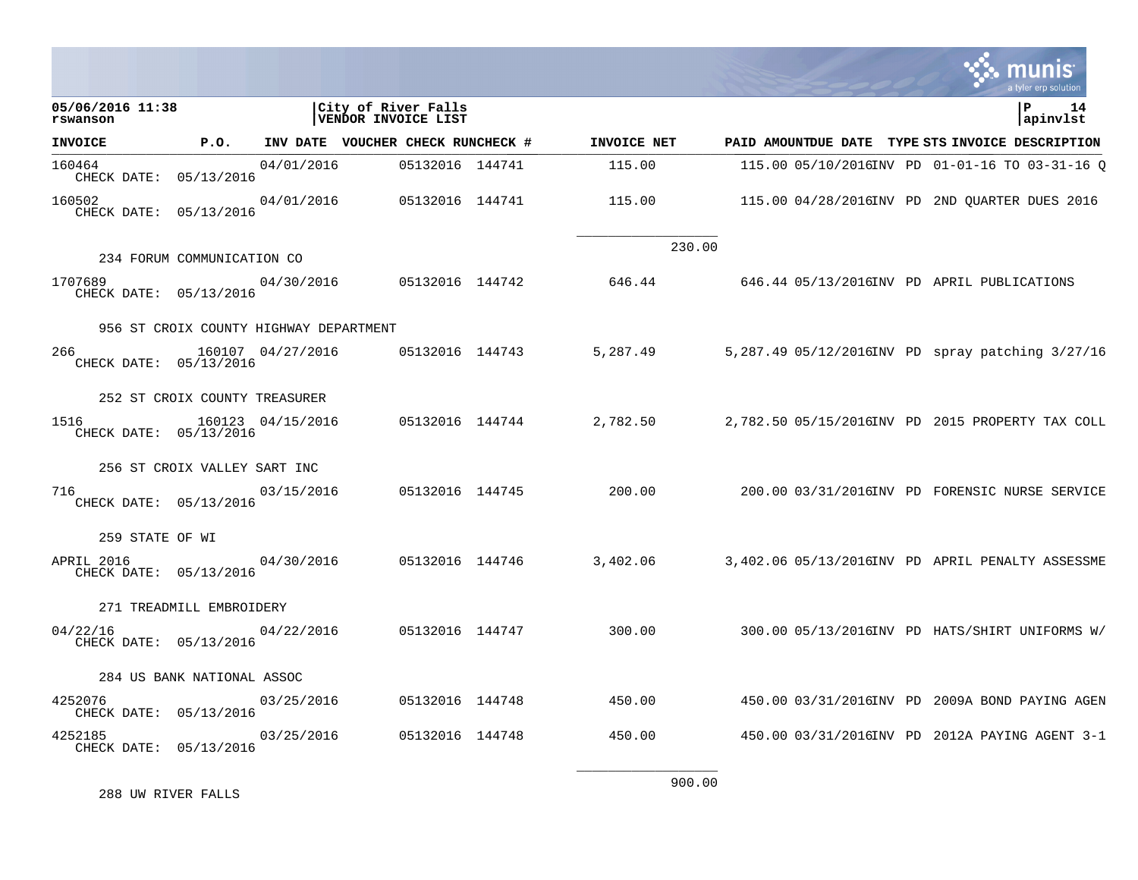|                                      |                                        |                   |                                            |             |        |  | a tyler erp solution                             |
|--------------------------------------|----------------------------------------|-------------------|--------------------------------------------|-------------|--------|--|--------------------------------------------------|
| 05/06/2016 11:38<br>rswanson         |                                        |                   | City of River Falls<br>VENDOR INVOICE LIST |             |        |  | 14<br>P<br>apinvlst                              |
| <b>INVOICE</b>                       | P.O.                                   |                   | INV DATE VOUCHER CHECK RUNCHECK #          | INVOICE NET |        |  | PAID AMOUNTDUE DATE TYPE STS INVOICE DESCRIPTION |
| 160464<br>CHECK DATE: 05/13/2016     |                                        | 04/01/2016        | 05132016 144741                            | 115.00      |        |  | 115.00 05/10/2016INV PD 01-01-16 TO 03-31-16 O   |
| 160502<br>CHECK DATE: 05/13/2016     |                                        | 04/01/2016        | 05132016 144741                            | 115.00      |        |  | 115.00 04/28/2016INV PD 2ND QUARTER DUES 2016    |
|                                      | 234 FORUM COMMUNICATION CO             |                   |                                            |             | 230.00 |  |                                                  |
| 1707689<br>CHECK DATE: 05/13/2016    |                                        | 04/30/2016        | 05132016 144742                            | 646.44      |        |  | 646.44 05/13/2016INV PD APRIL PUBLICATIONS       |
|                                      | 956 ST CROIX COUNTY HIGHWAY DEPARTMENT |                   |                                            |             |        |  |                                                  |
| 266<br>CHECK DATE: 05/13/2016        |                                        | 160107 04/27/2016 | 05132016 144743                            | 5,287.49    |        |  | 5,287.49 05/12/2016INV PD spray patching 3/27/16 |
|                                      | 252 ST CROIX COUNTY TREASURER          |                   |                                            |             |        |  |                                                  |
| 1516<br>CHECK DATE: 05/13/2016       |                                        | 160123 04/15/2016 | 05132016 144744                            | 2,782.50    |        |  | 2,782.50 05/15/2016INV PD 2015 PROPERTY TAX COLL |
|                                      | 256 ST CROIX VALLEY SART INC           |                   |                                            |             |        |  |                                                  |
| 716<br>CHECK DATE: 05/13/2016        |                                        | 03/15/2016        | 05132016 144745                            | 200.00      |        |  | 200.00 03/31/2016INV PD FORENSIC NURSE SERVICE   |
| 259 STATE OF WI                      |                                        |                   |                                            |             |        |  |                                                  |
| APRIL 2016<br>CHECK DATE: 05/13/2016 |                                        | 04/30/2016        | 05132016 144746                            | 3,402.06    |        |  | 3,402.06 05/13/2016INV PD APRIL PENALTY ASSESSME |
|                                      | 271 TREADMILL EMBROIDERY               |                   |                                            |             |        |  |                                                  |
| 04/22/16<br>CHECK DATE: 05/13/2016   |                                        | 04/22/2016        | 05132016 144747                            | 300.00      |        |  | 300.00 05/13/2016INV PD HATS/SHIRT UNIFORMS W/   |
|                                      | 284 US BANK NATIONAL ASSOC             |                   |                                            |             |        |  |                                                  |
| 4252076<br>CHECK DATE: 05/13/2016    |                                        | 03/25/2016        | 05132016 144748                            | 450.00      |        |  | 450.00 03/31/2016INV PD 2009A BOND PAYING AGEN   |
| 4252185<br>CHECK DATE: 05/13/2016    |                                        | 03/25/2016        | 05132016 144748                            | 450.00      |        |  | 450.00 03/31/2016INV PD 2012A PAYING AGENT 3-1   |
|                                      |                                        |                   |                                            |             |        |  |                                                  |

288 UW RIVER FALLS

900.00